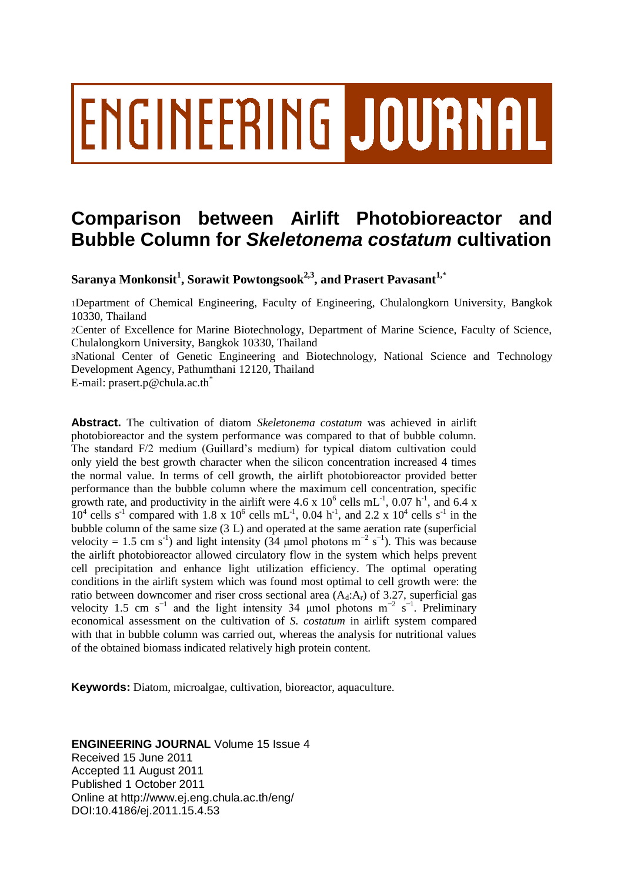# ENGINEERING JOURNAL

# **Comparison between Airlift Photobioreactor and Bubble Column for** *Skeletonema costatum* **cultivation**

**Saranya Monkonsit<sup>1</sup> , Sorawit Powtongsook2,3 , and Prasert Pavasant1,**\*

1Department of Chemical Engineering, Faculty of Engineering, Chulalongkorn University, Bangkok 10330, Thailand

2Center of Excellence for Marine Biotechnology, Department of Marine Science, Faculty of Science, Chulalongkorn University, Bangkok 10330, Thailand

3National Center of Genetic Engineering and Biotechnology, National Science and Technology Development Agency, Pathumthani 12120, Thailand

E-mail: prasert.p@chula.ac.th\*

**Abstract.** The cultivation of diatom *Skeletonema costatum* was achieved in airlift photobioreactor and the system performance was compared to that of bubble column. The standard F/2 medium (Guillard's medium) for typical diatom cultivation could only yield the best growth character when the silicon concentration increased 4 times the normal value. In terms of cell growth, the airlift photobioreactor provided better performance than the bubble column where the maximum cell concentration, specific growth rate, and productivity in the airlift were 4.6 x  $10^6$  cells mL<sup>-1</sup>, 0.07 h<sup>-1</sup>, and 6.4 x  $10^4$  cells s<sup>-1</sup> compared with 1.8 x  $10^6$  cells mL<sup>-1</sup>, 0.04 h<sup>-1</sup>, and 2.2 x  $10^4$  cells s<sup>-1</sup> in the bubble column of the same size (3 L) and operated at the same aeration rate (superficial velocity = 1.5 cm s<sup>-1</sup>) and light intensity (34 µmol photons m<sup>-2</sup> s<sup>-1</sup>). This was because the airlift photobioreactor allowed circulatory flow in the system which helps prevent cell precipitation and enhance light utilization efficiency. The optimal operating conditions in the airlift system which was found most optimal to cell growth were: the ratio between downcomer and riser cross sectional area  $(A_d:A_r)$  of 3.27, superficial gas velocity 1.5 cm s<sup>-1</sup> and the light intensity 34 µmol photons m<sup>-2</sup> s<sup>-1</sup>. Preliminary economical assessment on the cultivation of *S. costatum* in airlift system compared with that in bubble column was carried out, whereas the analysis for nutritional values of the obtained biomass indicated relatively high protein content.

**Keywords:** Diatom, microalgae, cultivation, bioreactor, aquaculture.

# **ENGINEERING JOURNAL** Volume 15 Issue 4 Received 15 June 2011 Accepted 11 August 2011 Published 1 October 2011 Online at http://www.ej.eng.chula.ac.th/eng/ DOI:10.4186/ej.2011.15.4.53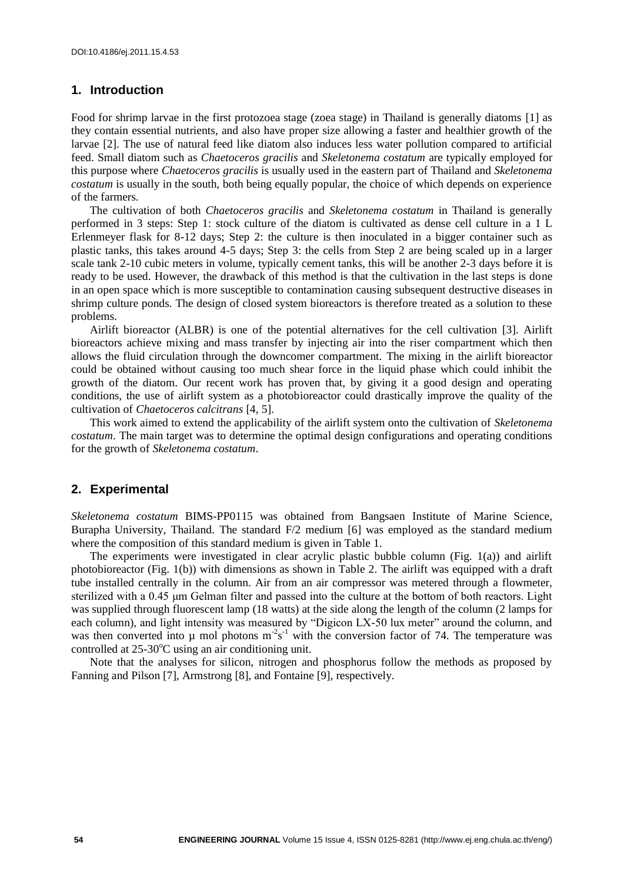# **1. Introduction**

Food for shrimp larvae in the first protozoea stage (zoea stage) in Thailand is generally diatoms [1] as they contain essential nutrients, and also have proper size allowing a faster and healthier growth of the larvae [2]. The use of natural feed like diatom also induces less water pollution compared to artificial feed. Small diatom such as *Chaetoceros gracilis* and *Skeletonema costatum* are typically employed for this purpose where *Chaetoceros gracilis* is usually used in the eastern part of Thailand and *Skeletonema costatum* is usually in the south, both being equally popular, the choice of which depends on experience of the farmers.

The cultivation of both *Chaetoceros gracilis* and *Skeletonema costatum* in Thailand is generally performed in 3 steps: Step 1: stock culture of the diatom is cultivated as dense cell culture in a 1 L Erlenmeyer flask for 8-12 days; Step 2: the culture is then inoculated in a bigger container such as plastic tanks, this takes around 4-5 days; Step 3: the cells from Step 2 are being scaled up in a larger scale tank 2-10 cubic meters in volume, typically cement tanks, this will be another 2-3 days before it is ready to be used. However, the drawback of this method is that the cultivation in the last steps is done in an open space which is more susceptible to contamination causing subsequent destructive diseases in shrimp culture ponds. The design of closed system bioreactors is therefore treated as a solution to these problems.

Airlift bioreactor (ALBR) is one of the potential alternatives for the cell cultivation [3]. Airlift bioreactors achieve mixing and mass transfer by injecting air into the riser compartment which then allows the fluid circulation through the downcomer compartment. The mixing in the airlift bioreactor could be obtained without causing too much shear force in the liquid phase which could inhibit the growth of the diatom. Our recent work has proven that, by giving it a good design and operating conditions, the use of airlift system as a photobioreactor could drastically improve the quality of the cultivation of *Chaetoceros calcitrans* [4, 5].

This work aimed to extend the applicability of the airlift system onto the cultivation of *Skeletonema costatum*. The main target was to determine the optimal design configurations and operating conditions for the growth of *Skeletonema costatum*.

#### **2. Experimental**

*Skeletonema costatum* BIMS-PP0115 was obtained from Bangsaen Institute of Marine Science, Burapha University, Thailand. The standard F/2 medium [6] was employed as the standard medium where the composition of this standard medium is given in Table 1.

The experiments were investigated in clear acrylic plastic bubble column (Fig. 1(a)) and airlift photobioreactor (Fig. 1(b)) with dimensions as shown in Table 2. The airlift was equipped with a draft tube installed centrally in the column. Air from an air compressor was metered through a flowmeter, sterilized with a 0.45 μm Gelman filter and passed into the culture at the bottom of both reactors. Light was supplied through fluorescent lamp (18 watts) at the side along the length of the column (2 lamps for each column), and light intensity was measured by "Digicon LX-50 lux meter" around the column, and was then converted into  $\mu$  mol photons m<sup>-2</sup>s<sup>-1</sup> with the conversion factor of 74. The temperature was controlled at  $25{\text -}30^{\circ}$ C using an air conditioning unit.

Note that the analyses for silicon, nitrogen and phosphorus follow the methods as proposed by Fanning and Pilson [7], Armstrong [8], and Fontaine [9], respectively.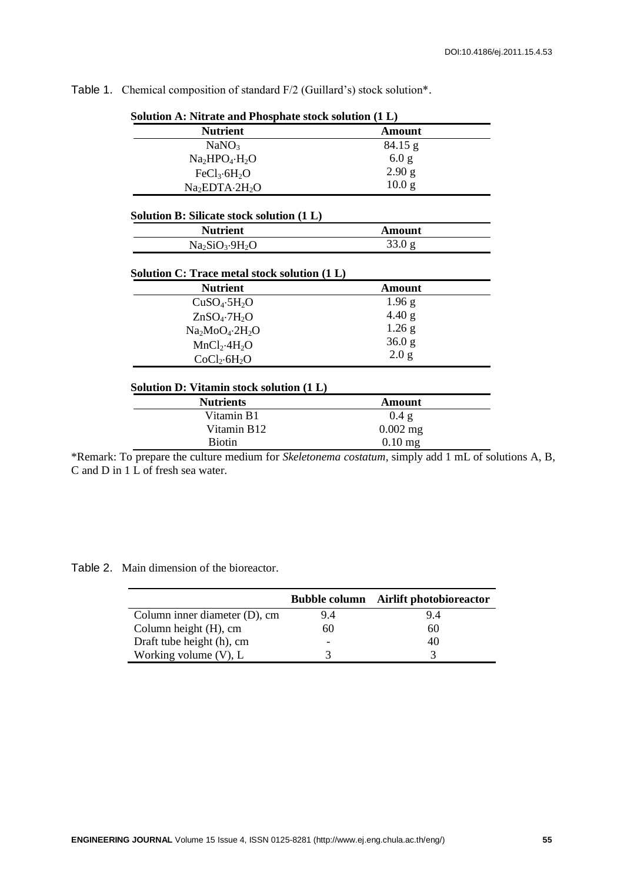| <b>Nutrient</b>                                                 | <b>Amount</b>           |
|-----------------------------------------------------------------|-------------------------|
| NaNO <sub>3</sub>                                               | 84.15 g                 |
| $Na2HPO4·H2O$                                                   | 6.0 g                   |
| FeCl <sub>3</sub> ·6H <sub>2</sub> O                            | 2.90 g                  |
| Na <sub>2</sub> EDTA-2H <sub>2</sub> O                          | 10.0 <sub>g</sub>       |
| Solution B: Silicate stock solution (1 L)                       |                         |
| <b>Nutrient</b>                                                 | <b>Amount</b>           |
| $Na2SiO3·9H2O$                                                  | 33.0 g                  |
| Solution C: Trace metal stock solution (1 L)<br><b>Nutrient</b> | <b>Amount</b>           |
|                                                                 |                         |
|                                                                 |                         |
| CuSO <sub>4</sub> ·5H <sub>2</sub> O                            | 1.96 g                  |
| $ZnSO_4$ -7 $H_2O$                                              | 4.40 g                  |
| $Na2MoO4·2H2O$                                                  | $1.26$ g                |
| MnCl <sub>2</sub> ·4H <sub>2</sub> O                            | 36.0 <sub>g</sub>       |
| CoCl <sub>2</sub> ·6H <sub>2</sub> O                            | 2.0 g                   |
| Solution D: Vitamin stock solution (1 L)                        |                         |
| <b>Nutrients</b>                                                | <b>Amount</b>           |
| Vitamin B1                                                      | 0.4 g                   |
| Vitamin B12                                                     | $0.002$ mg<br>$0.10$ mg |

Table 1. Chemical composition of standard F/2 (Guillard's) stock solution\*.

**Solution A: Nitrate and Phosphate stock solution (1 L)**

| C and D in 1 L of fresh sea water. |  |
|------------------------------------|--|
|------------------------------------|--|

Table 2. Main dimension of the bioreactor.

|                               |                          | <b>Bubble column</b> Airlift photobioreactor |
|-------------------------------|--------------------------|----------------------------------------------|
| Column inner diameter (D), cm | 9.4                      | 9.4                                          |
| Column height (H), cm         | 60                       | 60                                           |
| Draft tube height (h), cm     | $\overline{\phantom{0}}$ | 40                                           |
| Working volume $(V)$ , L      | 2                        |                                              |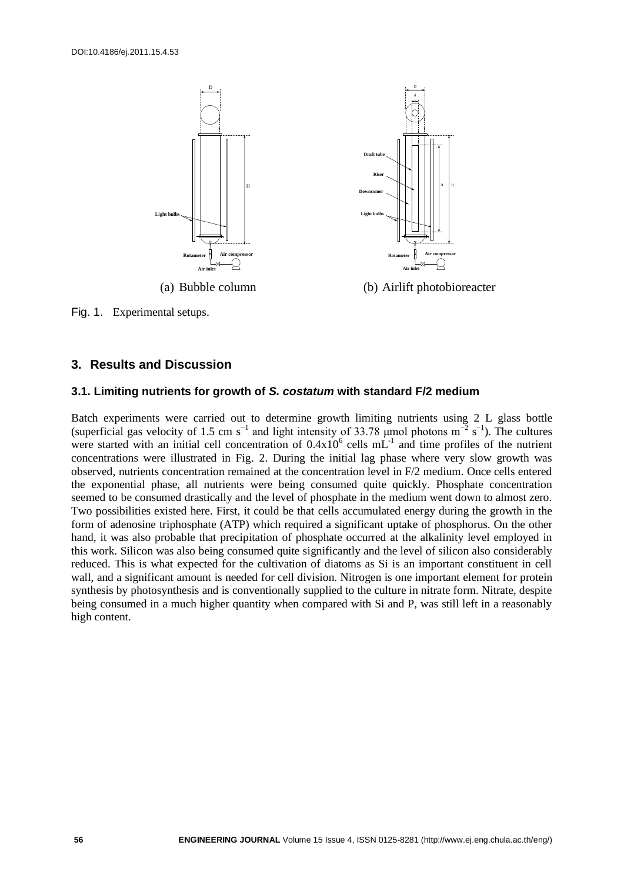

Fig. 1. Experimental setups.

# **3. Results and Discussion**

#### **3.1. Limiting nutrients for growth of** *S. costatum* **with standard F/2 medium**

Batch experiments were carried out to determine growth limiting nutrients using 2 L glass bottle (superficial gas velocity of 1.5 cm s<sup>-1</sup> and light intensity of 33.78 µmol photons m<sup>-2</sup> s<sup>-1</sup>). The cultures were started with an initial cell concentration of  $0.4x10^6$  cells mL<sup>-1</sup> and time profiles of the nutrient concentrations were illustrated in Fig. 2. During the initial lag phase where very slow growth was observed, nutrients concentration remained at the concentration level in F/2 medium. Once cells entered the exponential phase, all nutrients were being consumed quite quickly. Phosphate concentration seemed to be consumed drastically and the level of phosphate in the medium went down to almost zero. Two possibilities existed here. First, it could be that cells accumulated energy during the growth in the form of adenosine triphosphate (ATP) which required a significant uptake of phosphorus. On the other hand, it was also probable that precipitation of phosphate occurred at the alkalinity level employed in this work. Silicon was also being consumed quite significantly and the level of silicon also considerably reduced. This is what expected for the cultivation of diatoms as Si is an important constituent in cell wall, and a significant amount is needed for cell division. Nitrogen is one important element for protein synthesis by photosynthesis and is conventionally supplied to the culture in nitrate form. Nitrate, despite being consumed in a much higher quantity when compared with Si and P, was still left in a reasonably high content.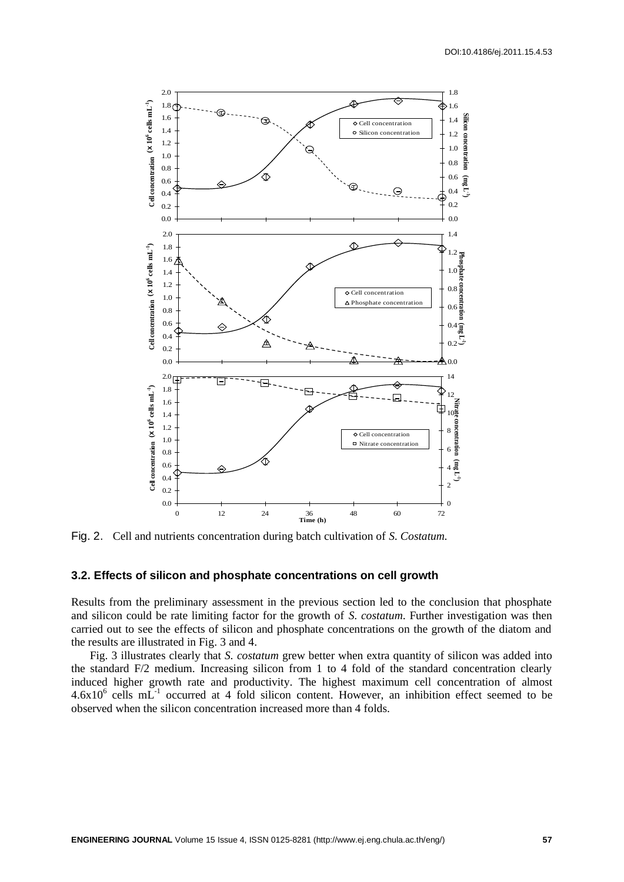

Fig. 2. Cell and nutrients concentration during batch cultivation of *S. Costatum.*

## **3.2. Effects of silicon and phosphate concentrations on cell growth**

Results from the preliminary assessment in the previous section led to the conclusion that phosphate and silicon could be rate limiting factor for the growth of *S. costatum*. Further investigation was then carried out to see the effects of silicon and phosphate concentrations on the growth of the diatom and the results are illustrated in Fig. 3 and 4.

Fig. 3 illustrates clearly that *S. costatum* grew better when extra quantity of silicon was added into the standard F/2 medium. Increasing silicon from 1 to 4 fold of the standard concentration clearly induced higher growth rate and productivity. The highest maximum cell concentration of almost  $4.6x10^6$  cells mL<sup>-1</sup> occurred at 4 fold silicon content. However, an inhibition effect seemed to be observed when the silicon concentration increased more than 4 folds.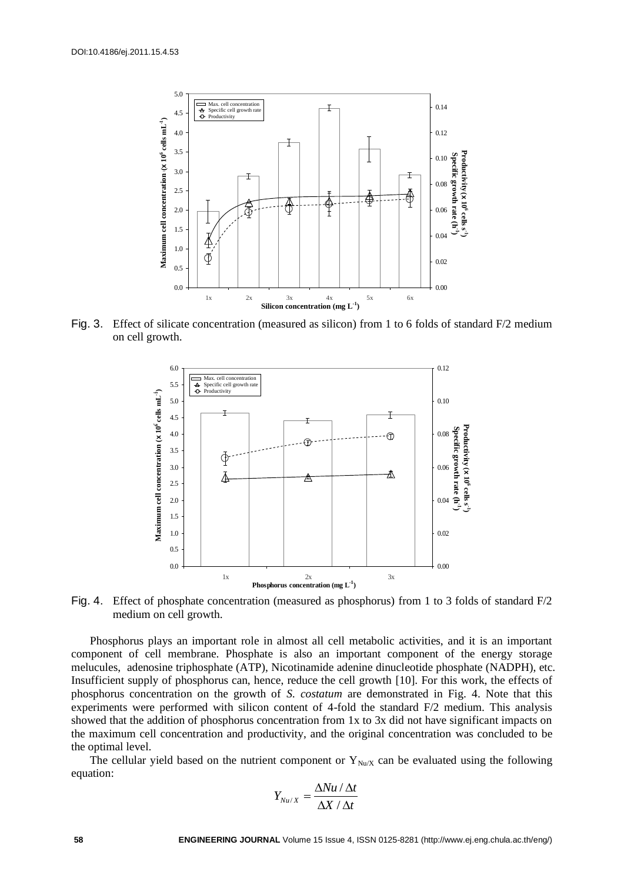

Fig. 3. Effect of silicate concentration (measured as silicon) from 1 to 6 folds of standard F/2 medium on cell growth.



Fig. 4. Effect of phosphate concentration (measured as phosphorus) from 1 to 3 folds of standard F/2 medium on cell growth.

Phosphorus plays an important role in almost all cell metabolic activities, and it is an important component of cell membrane. Phosphate is also an important component of the energy storage melucules, adenosine triphosphate (ATP), Nicotinamide adenine dinucleotide phosphate (NADPH), etc. Insufficient supply of phosphorus can, hence, reduce the cell growth [10]. For this work, the effects of phosphorus concentration on the growth of *S. costatum* are demonstrated in Fig. 4. Note that this experiments were performed with silicon content of 4-fold the standard F/2 medium. This analysis showed that the addition of phosphorus concentration from 1x to 3x did not have significant impacts on the maximum cell concentration and productivity, and the original concentration was concluded to be the optimal level.

The cellular yield based on the nutrient component or  $Y_{Nu/X}$  can be evaluated using the following equation:

$$
Y_{\mathit{Nu}/X} = \frac{\Delta \mathit{Nu} \mathbin{/} \Delta t}{\Delta X \mathbin{/} \Delta t}
$$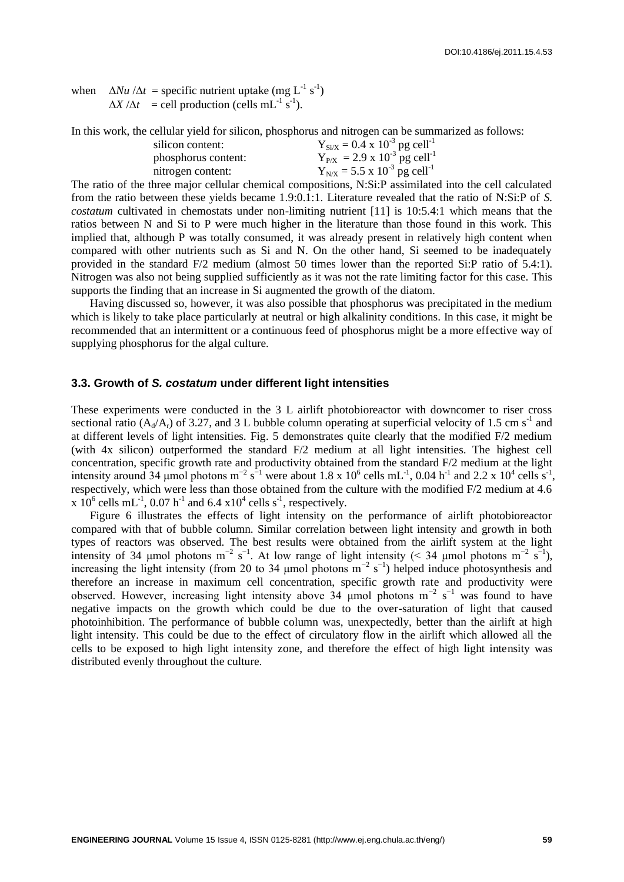when  $\Delta Nu / \Delta t$  = specific nutrient uptake (mg L<sup>-1</sup> s<sup>-1</sup>)  $\Delta X / \Delta t$  = cell production (cells mL<sup>-1</sup> s<sup>-1</sup>).

In this work, the cellular yield for silicon, phosphorus and nitrogen can be summarized as follows:

| silicon content:    | $Y_{Si/X} = 0.4 \times 10^{-3}$ pg cell <sup>-1</sup> |
|---------------------|-------------------------------------------------------|
| phosphorus content: | $Y_{P/X} = 2.9 \times 10^{-3}$ pg cell <sup>-1</sup>  |
| nitrogen content:   | $Y_{N/X} = 5.5 \times 10^{-3}$ pg cell <sup>-1</sup>  |
|                     |                                                       |

The ratio of the three major cellular chemical compositions, N:Si:P assimilated into the cell calculated from the ratio between these yields became 1.9:0.1:1. Literature revealed that the ratio of N:Si:P of *S. costatum* cultivated in chemostats under non-limiting nutrient [11] is 10:5.4:1 which means that the ratios between N and Si to P were much higher in the literature than those found in this work. This implied that, although P was totally consumed, it was already present in relatively high content when compared with other nutrients such as Si and N. On the other hand, Si seemed to be inadequately provided in the standard F/2 medium (almost 50 times lower than the reported Si:P ratio of 5.4:1). Nitrogen was also not being supplied sufficiently as it was not the rate limiting factor for this case. This supports the finding that an increase in Si augmented the growth of the diatom.

Having discussed so, however, it was also possible that phosphorus was precipitated in the medium which is likely to take place particularly at neutral or high alkalinity conditions. In this case, it might be recommended that an intermittent or a continuous feed of phosphorus might be a more effective way of supplying phosphorus for the algal culture.

#### **3.3. Growth of** *S. costatum* **under different light intensities**

These experiments were conducted in the 3 L airlift photobioreactor with downcomer to riser cross sectional ratio ( $A_d/A_r$ ) of 3.27, and 3 L bubble column operating at superficial velocity of 1.5 cm s<sup>-1</sup> and at different levels of light intensities. Fig. 5 demonstrates quite clearly that the modified F/2 medium (with 4x silicon) outperformed the standard F/2 medium at all light intensities. The highest cell concentration, specific growth rate and productivity obtained from the standard F/2 medium at the light intensity around 34 µmol photons  $m^{-2} s^{-1}$  were about 1.8 x 10<sup>6</sup> cells  $mL^{-1}$ , 0.04 h<sup>-1</sup> and 2.2 x 10<sup>4</sup> cells s<sup>-1</sup>, respectively, which were less than those obtained from the culture with the modified F/2 medium at 4.6 x  $10^6$  cells mL<sup>-1</sup>, 0.07 h<sup>-1</sup> and 6.4 x10<sup>4</sup> cells s<sup>-1</sup>, respectively.

Figure 6 illustrates the effects of light intensity on the performance of airlift photobioreactor compared with that of bubble column. Similar correlation between light intensity and growth in both types of reactors was observed. The best results were obtained from the airlift system at the light intensity of 34 µmol photons m<sup>-2</sup> s<sup>-1</sup>. At low range of light intensity (< 34 µmol photons m<sup>-2</sup> s<sup>-1</sup>), increasing the light intensity (from 20 to 34 µmol photons  $m^{-2} s^{-1}$ ) helped induce photosynthesis and therefore an increase in maximum cell concentration, specific growth rate and productivity were observed. However, increasing light intensity above 34 µmol photons  $m^{-2} s^{-1}$  was found to have negative impacts on the growth which could be due to the over-saturation of light that caused photoinhibition. The performance of bubble column was, unexpectedly, better than the airlift at high light intensity. This could be due to the effect of circulatory flow in the airlift which allowed all the cells to be exposed to high light intensity zone, and therefore the effect of high light intensity was distributed evenly throughout the culture.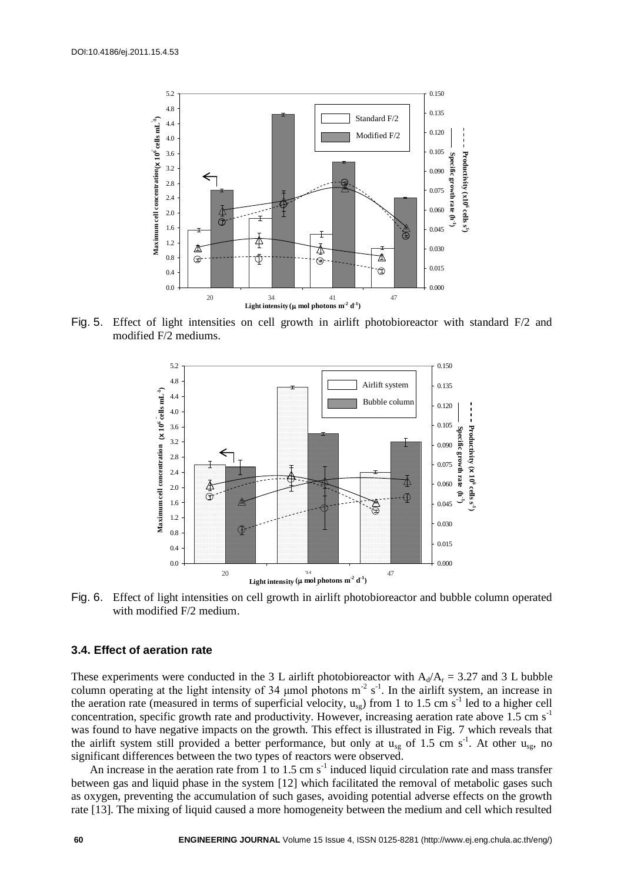

Fig. 5. Effect of light intensities on cell growth in airlift photobioreactor with standard F/2 and modified F/2 mediums.



Fig. 6. Effect of light intensities on cell growth in airlift photobioreactor and bubble column operated with modified F/2 medium.

### **3.4. Effect of aeration rate**

These experiments were conducted in the 3 L airlift photobioreactor with  $A_d/A_r = 3.27$  and 3 L bubble column operating at the light intensity of 34 µmol photons  $m^2 s^{-1}$ . In the airlift system, an increase in the aeration rate (measured in terms of superficial velocity,  $u_{sg}$ ) from 1 to 1.5 cm s<sup>-1</sup> led to a higher cell concentration, specific growth rate and productivity. However, increasing aeration rate above 1.5 cm  $s^{-1}$ was found to have negative impacts on the growth. This effect is illustrated in Fig. 7 which reveals that the airlift system still provided a better performance, but only at  $u_{sg}$  of 1.5 cm s<sup>-1</sup>. At other  $u_{sg}$ , no significant differences between the two types of reactors were observed.

An increase in the aeration rate from  $\overline{1}$  to 1.5 cm s<sup>-1</sup> induced liquid circulation rate and mass transfer between gas and liquid phase in the system [12] which facilitated the removal of metabolic gases such as oxygen, preventing the accumulation of such gases, avoiding potential adverse effects on the growth rate [13]. The mixing of liquid caused a more homogeneity between the medium and cell which resulted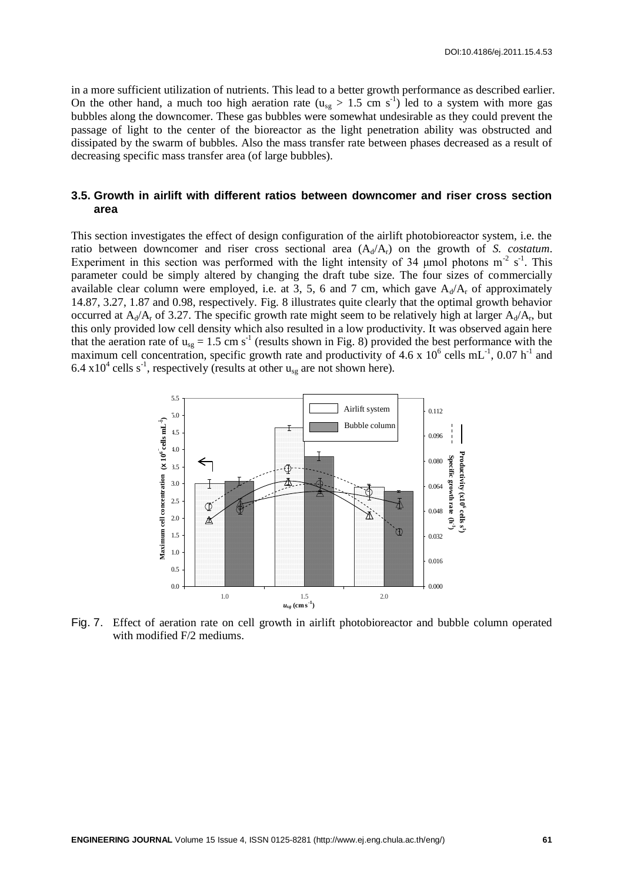in a more sufficient utilization of nutrients. This lead to a better growth performance as described earlier. On the other hand, a much too high aeration rate  $(u_{sg} > 1.5$  cm s<sup>-1</sup>) led to a system with more gas bubbles along the downcomer. These gas bubbles were somewhat undesirable as they could prevent the passage of light to the center of the bioreactor as the light penetration ability was obstructed and dissipated by the swarm of bubbles. Also the mass transfer rate between phases decreased as a result of decreasing specific mass transfer area (of large bubbles).

# **3.5. Growth in airlift with different ratios between downcomer and riser cross section area**

This section investigates the effect of design configuration of the airlift photobioreactor system, i.e. the ratio between downcomer and riser cross sectional area  $(A_d/A_r)$  on the growth of *S. costatum*. Experiment in this section was performed with the light intensity of 34  $\mu$ mol photons m<sup>-2</sup> s<sup>-1</sup>. This parameter could be simply altered by changing the draft tube size. The four sizes of commercially available clear column were employed, i.e. at 3, 5, 6 and 7 cm, which gave  $A_d/A_r$  of approximately 14.87, 3.27, 1.87 and 0.98, respectively. Fig. 8 illustrates quite clearly that the optimal growth behavior occurred at  $A_d/A_r$  of 3.27. The specific growth rate might seem to be relatively high at larger  $A_d/A_r$ , but this only provided low cell density which also resulted in a low productivity. It was observed again here that the aeration rate of  $u_{sg} = 1.5$  cm s<sup>-1</sup> (results shown in Fig. 8) provided the best performance with the maximum cell concentration, specific growth rate and productivity of 4.6 x  $10^6$  cells mL<sup>-1</sup>, 0.07 h<sup>-1</sup> and 6.4 x10<sup>4</sup> cells s<sup>-1</sup>, respectively (results at other  $u_{sg}$  are not shown here).



Fig. 7. Effect of aeration rate on cell growth in airlift photobioreactor and bubble column operated with modified F/2 mediums.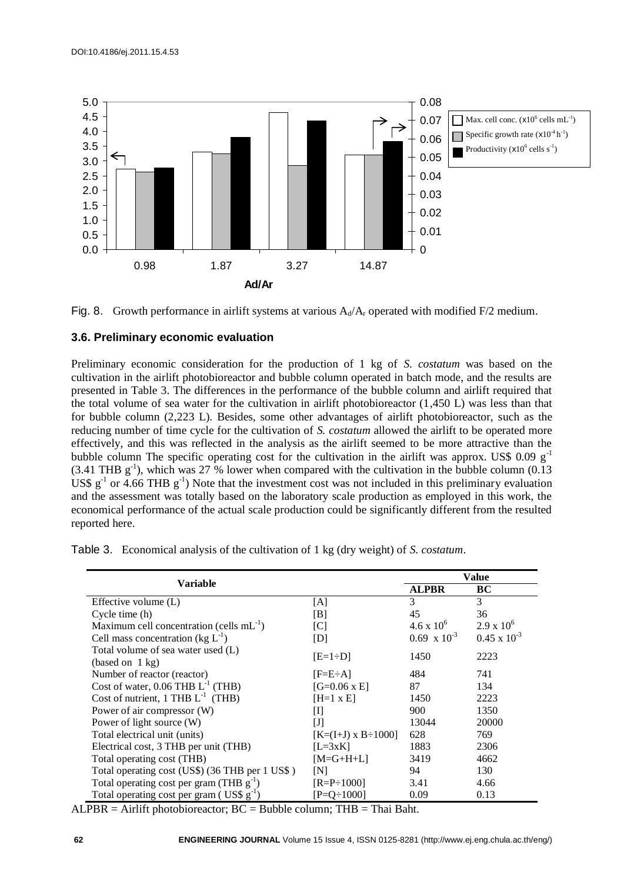



# **3.6. Preliminary economic evaluation**

Preliminary economic consideration for the production of 1 kg of *S. costatum* was based on the cultivation in the airlift photobioreactor and bubble column operated in batch mode, and the results are presented in Table 3. The differences in the performance of the bubble column and airlift required that the total volume of sea water for the cultivation in airlift photobioreactor  $(1,450 \text{ L})$  was less than that for bubble column (2,223 L). Besides, some other advantages of airlift photobioreactor, such as the reducing number of time cycle for the cultivation of *S. costatum* allowed the airlift to be operated more effectively, and this was reflected in the analysis as the airlift seemed to be more attractive than the bubble column The specific operating cost for the cultivation in the airlift was approx. US\$ 0.09  $g^{-1}$  $(3.41 \text{ THB g}^{-1})$ , which was 27 % lower when compared with the cultivation in the bubble column  $(0.13 \text{ m})$ US\$  $g^{-1}$  or 4.66 THB  $g^{-1}$ ) Note that the investment cost was not included in this preliminary evaluation and the assessment was totally based on the laboratory scale production as employed in this work, the economical performance of the actual scale production could be significantly different from the resulted reported here.

| Variable                                                       |                         | Value                 |                       |
|----------------------------------------------------------------|-------------------------|-----------------------|-----------------------|
|                                                                |                         | <b>ALPBR</b>          | BC                    |
| Effective volume $(L)$                                         | [A]                     | 3                     | 3                     |
| Cycle time (h)                                                 | [B]                     | 45                    | 36                    |
| Maximum cell concentration (cells $mL^{-1}$ )                  | [C]                     | $4.6 \times 10^{6}$   | $2.9 \times 10^{6}$   |
| Cell mass concentration (kg $L^{-1}$ )                         | [D]                     | $0.69 \times 10^{-3}$ | $0.45 \times 10^{-3}$ |
| Total volume of sea water used (L)                             | $[E=1\div D]$           | 1450                  | 2223                  |
| (based on 1 kg)                                                |                         |                       |                       |
| Number of reactor (reactor)                                    | $[FeE \div A]$          | 484                   | 741                   |
| Cost of water, $0.06$ THB $L^{-1}$ (THB)                       | $[G=0.06 \times E]$     | 87                    | 134                   |
| Cost of nutrient, 1 THB $L^{-1}$ (THB)                         | $[H=1 x E]$             | 1450                  | 2223                  |
| Power of air compressor (W)                                    | Ш                       | 900                   | 1350                  |
| Power of light source (W)                                      | IJ                      | 13044                 | 20000                 |
| Total electrical unit (units)                                  | $K=(I+J) \times B-1000$ | 628                   | 769                   |
| Electrical cost, 3 THB per unit (THB)                          | $[L=3xK]$               | 1883                  | 2306                  |
| Total operating cost (THB)                                     | $[M=G+H+L]$             | 3419                  | 4662                  |
| Total operating cost (US\$) (36 THB per 1 US\$)                | [N]                     | 94                    | 130                   |
| Total operating cost per gram (THB $g^{-1}$ )                  | $[{\rm R=}P \div 1000]$ | 3.41                  | 4.66                  |
| Total operating cost per gram ( $\text{US}\$ g <sup>-1</sup> ) | $[$ P=O $\div$ 1000]    | 0.09                  | 0.13                  |

Table 3. Economical analysis of the cultivation of 1 kg (dry weight) of *S. costatum*.

 $ALPBR = Airlift photobioreactor; BC = Bubble column; THB = Thai Baht.$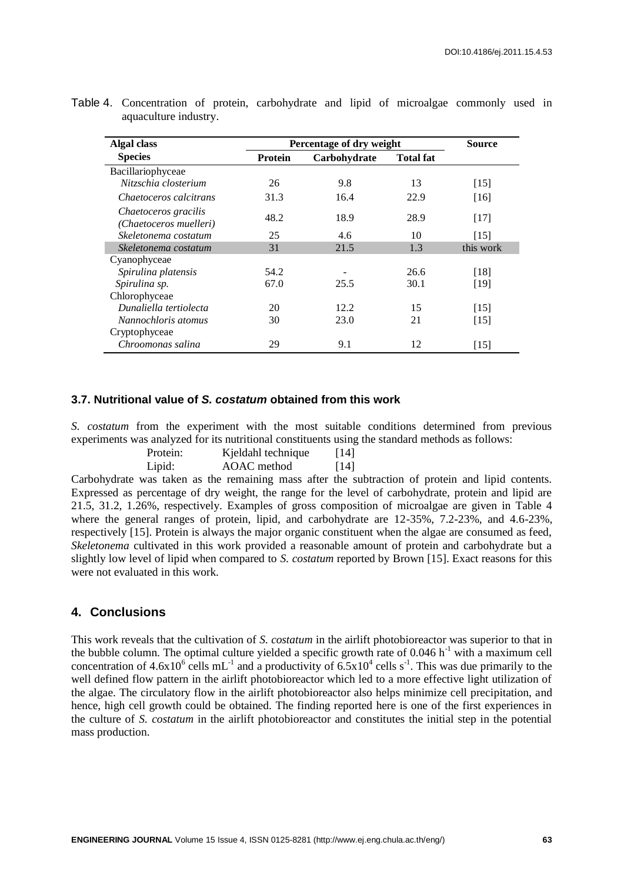| Algal class                                    | Percentage of dry weight |              | <b>Source</b>    |           |
|------------------------------------------------|--------------------------|--------------|------------------|-----------|
| <b>Species</b>                                 | <b>Protein</b>           | Carbohydrate | <b>Total fat</b> |           |
| Bacillariophyceae                              |                          |              |                  |           |
| Nitzschia closterium                           | 26                       | 9.8          | 13               | $[15]$    |
| Chaetoceros calcitrans                         | 31.3                     | 16.4         | 22.9             | [16]      |
| Chaetoceros gracilis<br>(Chaetoceros muelleri) | 48.2                     | 18.9         | 28.9             | [17]      |
| Skeletonema costatum                           | 25                       | 4.6          | 10               | $[15]$    |
| Skeletonema costatum                           | 31                       | 21.5         | 1.3              | this work |
| Cyanophyceae                                   |                          |              |                  |           |
| Spirulina platensis                            | 54.2                     |              | 26.6             | [18]      |
| Spirulina sp.                                  | 67.0                     | 25.5         | 30.1             | [19]      |
| Chlorophyceae                                  |                          |              |                  |           |
| Dunaliella tertiolecta                         | 20                       | 12.2         | 15               | $[15]$    |
| Nannochloris atomus                            | 30                       | 23.0         | 21               | $[15]$    |
| Cryptophyceae                                  |                          |              |                  |           |
| Chroomonas salina                              | 29                       | 9.1          | 12               | [15]      |

Table 4. Concentration of protein, carbohydrate and lipid of microalgae commonly used in aquaculture industry.

#### **3.7. Nutritional value of** *S. costatum* **obtained from this work**

*S. costatum* from the experiment with the most suitable conditions determined from previous experiments was analyzed for its nutritional constituents using the standard methods as follows:

| Protein: | Kjeldahl technique | $[14]$ |
|----------|--------------------|--------|
| Lipid:   | AOAC method        | $[14]$ |

Carbohydrate was taken as the remaining mass after the subtraction of protein and lipid contents. Expressed as percentage of dry weight, the range for the level of carbohydrate, protein and lipid are 21.5, 31.2, 1.26%, respectively. Examples of gross composition of microalgae are given in Table 4 where the general ranges of protein, lipid, and carbohydrate are 12-35%, 7.2-23%, and 4.6-23%, respectively [15]. Protein is always the major organic constituent when the algae are consumed as feed, *Skeletonema* cultivated in this work provided a reasonable amount of protein and carbohydrate but a slightly low level of lipid when compared to *S. costatum* reported by Brown [15]. Exact reasons for this were not evaluated in this work.

# **4. Conclusions**

This work reveals that the cultivation of *S. costatum* in the airlift photobioreactor was superior to that in the bubble column. The optimal culture yielded a specific growth rate of  $0.046 h^{-1}$  with a maximum cell concentration of  $4.6x10^6$  cells mL<sup>-1</sup> and a productivity of  $6.5x10^4$  cells s<sup>-1</sup>. This was due primarily to the well defined flow pattern in the airlift photobioreactor which led to a more effective light utilization of the algae. The circulatory flow in the airlift photobioreactor also helps minimize cell precipitation, and hence, high cell growth could be obtained. The finding reported here is one of the first experiences in the culture of *S. costatum* in the airlift photobioreactor and constitutes the initial step in the potential mass production.